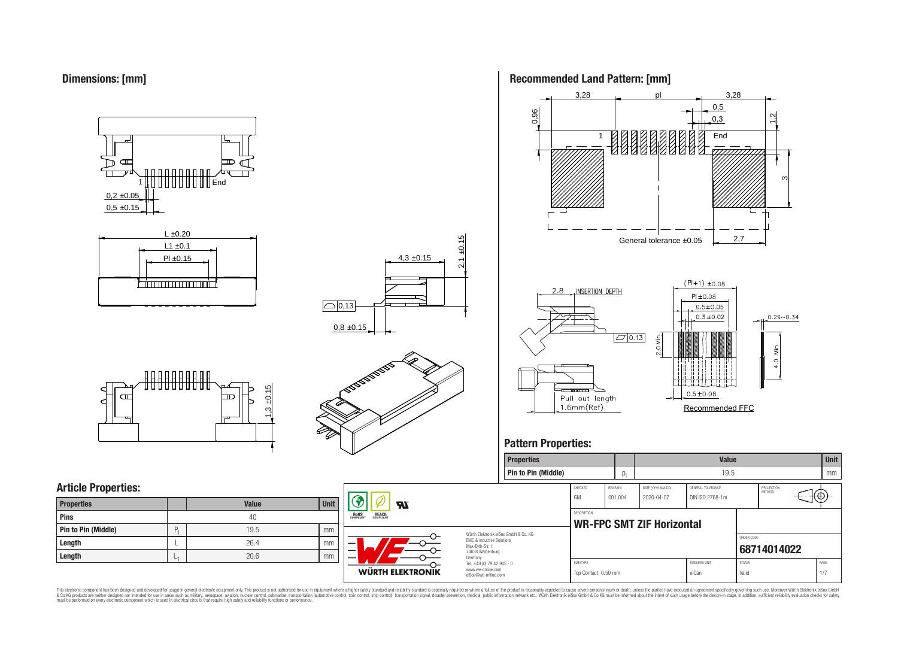



# **Article Properties:**

| <b>Properties</b>   |    | <b>Value</b> | <b>Unit</b> |
|---------------------|----|--------------|-------------|
| Pins                |    | 40           |             |
| Pin to Pin (Middle) | P. | 19.5         | mm          |
| Length              |    | 26.4         | mm          |
| Length              | ∟  | 20.6         | mm          |



עפ

**WÜRTH ELEKTRONIK** 

**RoHS** 

REACH

4,3 ±0.15

 $2,1 \pm 0.15$ 





# **Pattern Properties:**

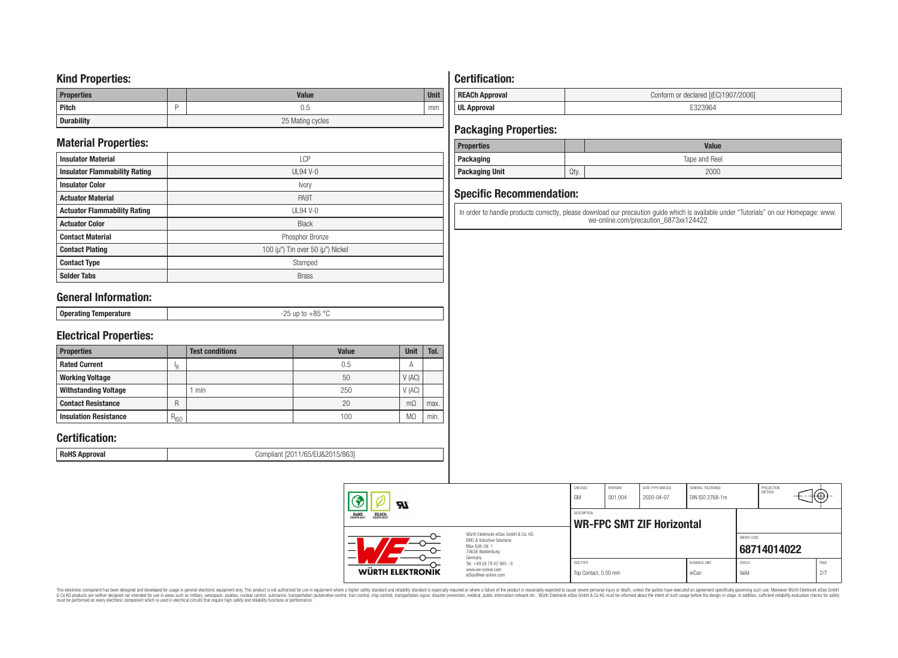### **Kind Properties:**

| <b>Properties</b> | <b>Value</b>     | <b>Unit</b> |  |  |  |
|-------------------|------------------|-------------|--|--|--|
| <b>Pitch</b>      | 0.5              | mm          |  |  |  |
| <b>Durability</b> | 25 Mating cycles |             |  |  |  |

# **Material Properties:**

| <b>Insulator Material</b>            | <b>LCP</b>                                   |
|--------------------------------------|----------------------------------------------|
| <b>Insulator Flammability Rating</b> | $UL94V-0$                                    |
| <b>Insulator Color</b>               | Ivory                                        |
| <b>Actuator Material</b>             | PA9T                                         |
| <b>Actuator Flammability Rating</b>  | UL94 V-0                                     |
| <b>Actuator Color</b>                | <b>Black</b>                                 |
| <b>Contact Material</b>              | Phosphor Bronze                              |
| <b>Contact Plating</b>               | 100 ( $\mu$ ") Tin over 50 ( $\mu$ ") Nickel |
| <b>Contact Type</b>                  | Stamped                                      |
| <b>Solder Tabs</b>                   | <b>Brass</b>                                 |

# **General Information:**

| $\circ$<br>⊥ Onera′<br><b>U</b> L<br>.<br>.<br> |                 |            |
|-------------------------------------------------|-----------------|------------|
|                                                 | $-$ - $-$ - $-$ | $  -$<br>. |

# **Electrical Properties:**

| <b>Properties</b>            |           | <b>Test conditions</b> | <b>Value</b> | Unit           | Tol. |
|------------------------------|-----------|------------------------|--------------|----------------|------|
| <b>Rated Current</b>         | םו        |                        | 0.5          | $\overline{A}$ |      |
| <b>Working Voltage</b>       |           |                        | 50           | V(AC)          |      |
| <b>Withstanding Voltage</b>  |           | min                    | 250          | V(AC)          |      |
| <b>Contact Resistance</b>    | R         |                        | 20           | $m\Omega$      | max. |
| <b>Insulation Resistance</b> | $R_{ISO}$ |                        | 100          | M <sub>2</sub> | min. |

# **Certification:**

**RoHS Approval RoHS Approval Compliant** [2011/65/EU&2015/863]

# **Certification:**

| <b>REACh Approval</b> | Conform or declared [(EC)1907/2006] |
|-----------------------|-------------------------------------|
| <b>UL Approval</b>    |                                     |

# **Packaging Properties:**

| <b>Properties</b>     |               | <b>Value</b> |  |  |  |
|-----------------------|---------------|--------------|--|--|--|
| Packaging             | Tape and Reel |              |  |  |  |
| <b>Packaging Unit</b> | Qty.          | 2000         |  |  |  |

# **Specific Recommendation:**

In order to handle products correctly, please download our precaution guide which is available under "Tutorials" on our Homepage: www. we-online.com/precaution\_6873xx124422

| WÜRTH ELEKTRONIK                                      | Tel. +49 (0) 79 42 945 - 0<br>www.we-online.com<br>eiSos@we-online.com                                              | Top Contact, 0.50 mm |                     |                                  | eiCan                                | Valid                       |                      | 2/7               |  |
|-------------------------------------------------------|---------------------------------------------------------------------------------------------------------------------|----------------------|---------------------|----------------------------------|--------------------------------------|-----------------------------|----------------------|-------------------|--|
|                                                       | Würth Flektronik eiSos GmbH & Co. KG<br>EMC & Inductive Solutions<br>Max-Evth-Str. 1<br>74638 Waldenburg<br>Germany | SIZE/TYPE            |                     |                                  | <b>BUSINESS UNIT</b>                 | ORDER CODE<br><b>STATUS</b> | 68714014022          | PAGE              |  |
| <b>ROHS</b><br>COMPLIANT<br><b>REACH</b><br>COMPLIANT |                                                                                                                     | DESCRIPTION          |                     | <b>WR-FPC SMT ZIF Horizontal</b> |                                      |                             |                      |                   |  |
| <b>RI</b>                                             |                                                                                                                     | CHECKED<br>GM        | REVISION<br>001.004 | DATE (YYYY-MM-DD)<br>2020-04-07  | GENERAL TOLERANCE<br>DIN ISO 2768-1m |                             | PROJECTION<br>METHOD | <del>⊣t⊕}</del> - |  |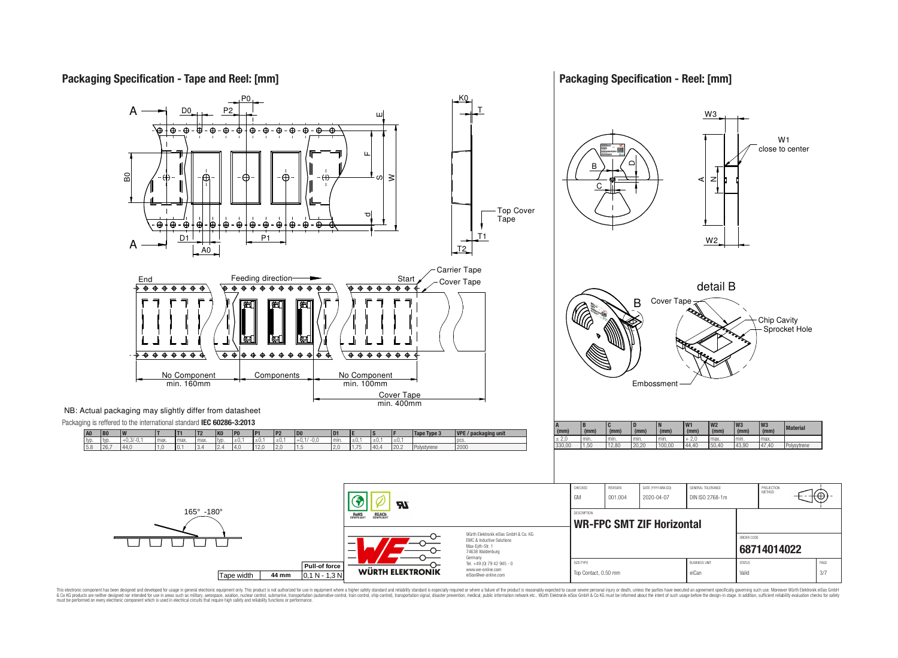**Packaging Specification - Tape and Reel: [mm]**

### **Packaging Specification - Reel: [mm]**

W1

Sprocket Hole

Ю



This electronic component has been designed and developed for usage in general electronic equipment only. This product is not authorized for use in equipment where a higher safely standard and reliability standard si espec & Ook product a label and the membed of the seasuch as marked and as which such a membed and the such assume that income in the seasuch and the simulation and the such assume that include to the such a membed and the such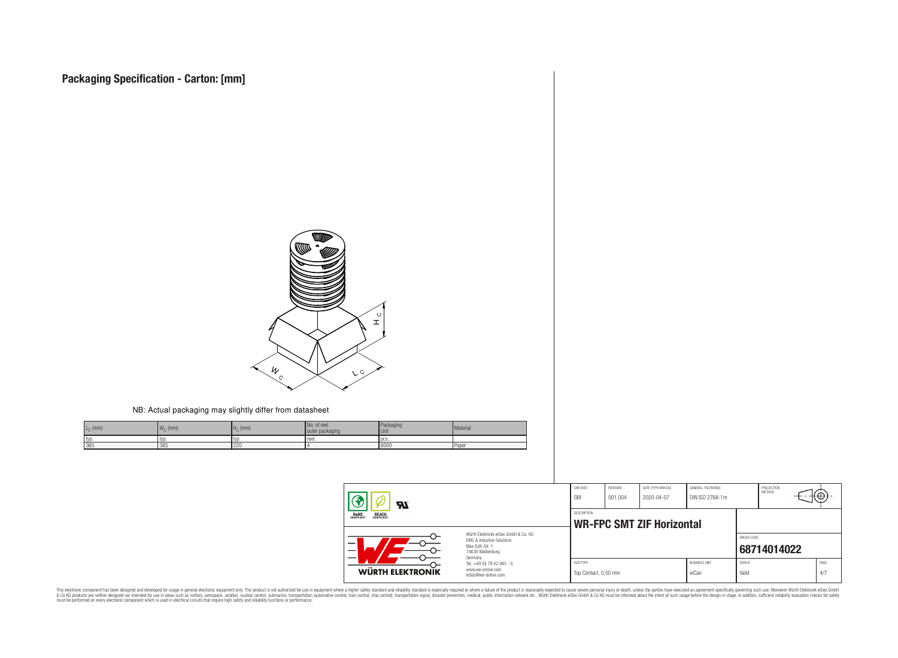

#### NB: Actual packaging may slightly differ from datasheet

| $L_{\text{C}}$ (mm) | $\mathbf{11}$<br>$W_{\cap}$ (mm) | $H_C$ (mm) | No. of reel<br>outer packaging | Packaging<br><b>Unit</b> | Material     |
|---------------------|----------------------------------|------------|--------------------------------|--------------------------|--------------|
| typ                 | I tvo                            | ' TVD      | reel.                          | - I nes                  |              |
| 365                 | 365                              | 220        |                                | 8000                     | <b>Paper</b> |

| 77.                                                   |                                                                                                                     | CHECKED<br>GM                     | REVISION<br>001.004 | DATE (YYYY-MM-DD)<br>2020-04-07  | GENERAL TOLERANCE<br>DIN ISO 2768-1m |                        | PROJECTION<br>METHOD | ᡕᡂ |             |
|-------------------------------------------------------|---------------------------------------------------------------------------------------------------------------------|-----------------------------------|---------------------|----------------------------------|--------------------------------------|------------------------|----------------------|----|-------------|
| <b>ROHS</b><br>COMPLIANT<br><b>REACH</b><br>COMPLIANT |                                                                                                                     | <b>DESCRIPTION</b>                |                     | <b>WR-FPC SMT ZIF Horizontal</b> |                                      |                        |                      |    |             |
| -<br>$\overline{\phantom{0}}$                         | Würth Flektronik eiSos GmbH & Co. KG<br>EMC & Inductive Solutions<br>Max-Eyth-Str. 1<br>74638 Waldenburg<br>Germany |                                   |                     |                                  |                                      | ORDER CODE             | 68714014022          |    |             |
| WÜRTH ELEKTRONIK                                      | Tel. +49 (0) 79 42 945 - 0<br>www.we-online.com<br>eiSos@we-online.com                                              | SIZE/TYPE<br>Top Contact, 0.50 mm |                     |                                  | <b>BUSINESS UNIT</b><br>eiCan        | <b>STATUS</b><br>Valid |                      |    | PAGE<br>4/7 |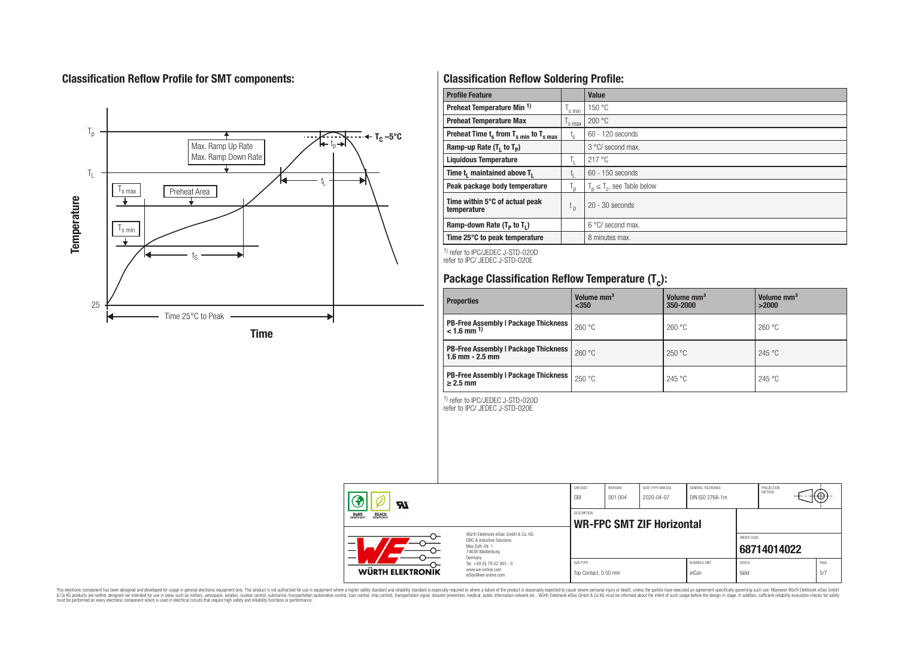# **Classification Reflow Profile for SMT components:**



# **Classification Reflow Soldering Profile:**

| <b>Profile Feature</b>                              |                    | Value                            |
|-----------------------------------------------------|--------------------|----------------------------------|
| Preheat Temperature Min <sup>1)</sup>               | <sup>I</sup> s min | 150 °C                           |
| <b>Preheat Temperature Max</b>                      | 's max             | 200 °C                           |
| Preheat Time $t_s$ from $T_{s,min}$ to $T_{s,max}$  | $t_{\rm s}$        | $60 - 120$ seconds               |
| Ramp-up Rate $(T_1$ to $T_p$ )                      |                    | 3 °C/ second max.                |
| <b>Liquidous Temperature</b>                        | Ь.                 | 217°C                            |
| Time t <sub>1</sub> maintained above T <sub>1</sub> | ь.                 | $60 - 150$ seconds               |
| Peak package body temperature                       | l n                | $T_n \leq T_c$ , see Table below |
| Time within 5°C of actual peak<br>temperature       | t <sub>p</sub>     | $20 - 30$ seconds                |
| Ramp-down Rate $(T_p$ to $T_1$ )                    |                    | $6^{\circ}$ C/ second max.       |
| Time 25°C to peak temperature                       |                    | 8 minutes max.                   |

1) refer to IPC/JEDEC J-STD-020D refer to IPC/ JEDEC J-STD-020E

# **Package Classification Reflow Temperature (T<sup>c</sup> ):**

| <b>Properties</b>                                                         | Volume mm <sup>3</sup><br>$350$ | Volume mm <sup>3</sup><br>350-2000 | Volume mm <sup>3</sup><br>>2000 |
|---------------------------------------------------------------------------|---------------------------------|------------------------------------|---------------------------------|
| <b>PB-Free Assembly   Package Thickness  </b><br>$< 1.6$ mm <sup>1)</sup> | 260 °C                          | 260 °C                             | 260 °C                          |
| <b>PB-Free Assembly   Package Thickness  </b><br>$1.6$ mm $- 2.5$ mm      | 260 °C                          | 250 °C                             | 245 °C                          |
| <b>PB-Free Assembly   Package Thickness  </b><br>$\geq$ 2.5 mm            | 250 °C                          | 245 °C                             | 245 °C                          |

1) refer to IPC/JEDEC J-STD-020D

refer to IPC/ JEDEC J-STD-020E

| Яï                                                    |                                                                                                                     | CHECKED<br>GM | <b>REVISION</b><br>001.004 | DATE (YYYY-MM-DD)<br>2020-04-07  | GENERAL TOLERANCE<br>DIN ISO 2768-1m |                        | PROJECTION<br>METHOD | ₩Ψ          |
|-------------------------------------------------------|---------------------------------------------------------------------------------------------------------------------|---------------|----------------------------|----------------------------------|--------------------------------------|------------------------|----------------------|-------------|
| <b>ROHS</b><br>COMPLIANT<br><b>REACH</b><br>COMPLIANT |                                                                                                                     |               |                            | <b>WR-FPC SMT ZIF Horizontal</b> |                                      |                        |                      |             |
| –<br>-                                                | Würth Flektronik eiSos GmbH & Co. KG<br>EMC & Inductive Solutions<br>Max-Evth-Str. 1<br>74638 Waldenburg<br>Germany |               |                            |                                  |                                      | ORDER CODE             | 68714014022          |             |
| WÜRTH ELEKTRONIK                                      | Tel. +49 (0) 79 42 945 - 0<br>www.we-online.com<br>eiSos@we-online.com                                              |               | Top Contact, 0.50 mm       |                                  | <b>BUSINESS UNIT</b><br>eiCan        | <b>STATUS</b><br>Valid |                      | PAGE<br>5/7 |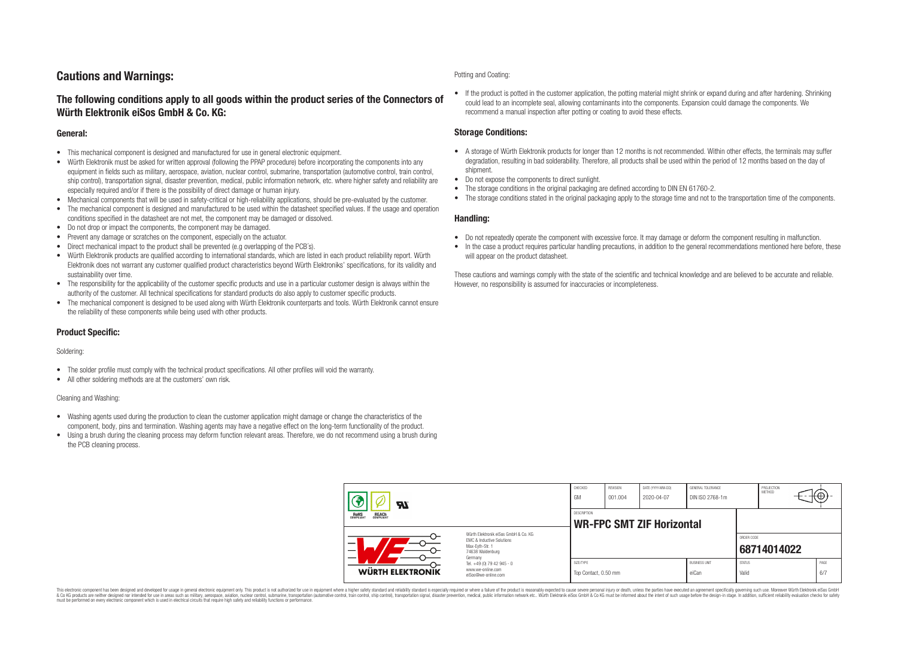# **Cautions and Warnings:**

### **The following conditions apply to all goods within the product series of the Connectors of Würth Elektronik eiSos GmbH & Co. KG:**

#### **General:**

- This mechanical component is designed and manufactured for use in general electronic equipment.
- Würth Elektronik must be asked for written approval (following the PPAP procedure) before incorporating the components into any equipment in fields such as military, aerospace, aviation, nuclear control, submarine, transportation (automotive control, train control, ship control), transportation signal, disaster prevention, medical, public information network, etc. where higher safety and reliability are especially required and/or if there is the possibility of direct damage or human injury.
- Mechanical components that will be used in safety-critical or high-reliability applications, should be pre-evaluated by the customer.
- The mechanical component is designed and manufactured to be used within the datasheet specified values. If the usage and operation conditions specified in the datasheet are not met, the component may be damaged or dissolved.
- Do not drop or impact the components, the component may be damaged.
- Prevent any damage or scratches on the component, especially on the actuator.
- Direct mechanical impact to the product shall be prevented (e.g overlapping of the PCB's).
- Würth Elektronik products are qualified according to international standards, which are listed in each product reliability report. Würth Elektronik does not warrant any customer qualified product characteristics beyond Würth Elektroniks' specifications, for its validity and sustainability over time.
- The responsibility for the applicability of the customer specific products and use in a particular customer design is always within the authority of the customer. All technical specifications for standard products do also apply to customer specific products.
- The mechanical component is designed to be used along with Würth Elektronik counterparts and tools. Würth Elektronik cannot ensure the reliability of these components while being used with other products.

#### **Product Specific:**

#### Soldering:

- The solder profile must comply with the technical product specifications. All other profiles will void the warranty.
- All other soldering methods are at the customers' own risk.

#### Cleaning and Washing:

- Washing agents used during the production to clean the customer application might damage or change the characteristics of the component, body, pins and termination. Washing agents may have a negative effect on the long-term functionality of the product.
- Using a brush during the cleaning process may deform function relevant areas. Therefore, we do not recommend using a brush during the PCB cleaning process.

#### Potting and Coating:

• If the product is potted in the customer application, the potting material might shrink or expand during and after hardening. Shrinking could lead to an incomplete seal, allowing contaminants into the components. Expansion could damage the components. We recommend a manual inspection after potting or coating to avoid these effects.

#### **Storage Conditions:**

- A storage of Würth Elektronik products for longer than 12 months is not recommended. Within other effects, the terminals may suffer degradation, resulting in bad solderability. Therefore, all products shall be used within the period of 12 months based on the day of shipment.
- Do not expose the components to direct sunlight.
- The storage conditions in the original packaging are defined according to DIN EN 61760-2.
- The storage conditions stated in the original packaging apply to the storage time and not to the transportation time of the components.

#### **Handling:**

- Do not repeatedly operate the component with excessive force. It may damage or deform the component resulting in malfunction.
- In the case a product requires particular handling precautions, in addition to the general recommendations mentioned here before, these will appear on the product datasheet.

These cautions and warnings comply with the state of the scientific and technical knowledge and are believed to be accurate and reliable. However, no responsibility is assumed for inaccuracies or incompleteness.

| Hī<br>ROHS<br>COMPLIANT<br><b>REACH</b><br>COMPLIANT<br>Würth Flektronik eiSos GmbH & Co. KG<br>FMC & Inductive Solutions<br>–<br>Max-Eyth-Str. 1<br>74638 Waldenburg |                                                                                   | CHECKED<br>GM                     | <b>REVISION</b><br>001.004       | DATE (YYYY-MM-DD)<br>2020-04-07 | GENERAL TOLERANCE<br>DIN ISO 2768-1m |                        | PROJECTION<br><b>METHOD</b> |  | ₩           |  |
|-----------------------------------------------------------------------------------------------------------------------------------------------------------------------|-----------------------------------------------------------------------------------|-----------------------------------|----------------------------------|---------------------------------|--------------------------------------|------------------------|-----------------------------|--|-------------|--|
|                                                                                                                                                                       |                                                                                   | <b>DESCRIPTION</b>                | <b>WR-FPC SMT ZIF Horizontal</b> |                                 |                                      |                        |                             |  |             |  |
|                                                                                                                                                                       |                                                                                   |                                   |                                  |                                 |                                      | ORDER CODE             | 68714014022                 |  |             |  |
| WÜRTH ELEKTRONIK                                                                                                                                                      | Germany<br>Tel. +49 (0) 79 42 945 - 0<br>www.we-online.com<br>eiSos@we-online.com | SIZE/TYPE<br>Top Contact, 0.50 mm |                                  |                                 | <b>BUSINESS UNIT</b><br>eiCan        | <b>STATUS</b><br>Valid |                             |  | PAGE<br>6/7 |  |

This electronic component has been designed and developed for usage in general electronic equipment only. This product is not authorized for use in equipment where a higher safety standard and reliability standard si espec & Ook product a label and the membed of the seasuch as marked and as which such a membed and the such assume that income in the seasuch and the simulation and the such assume that include to the such a membed and the such